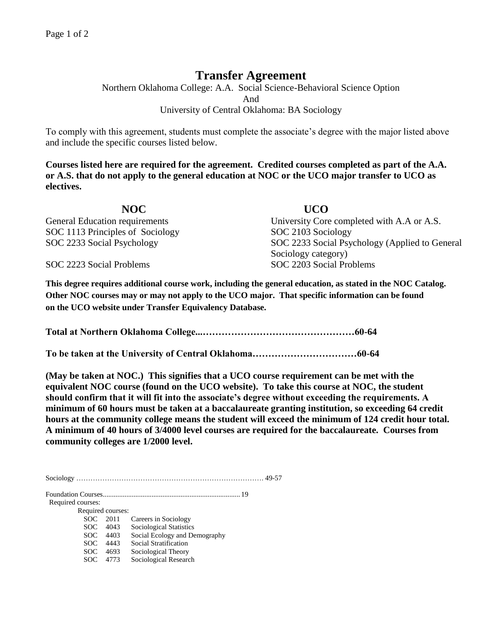## **Transfer Agreement**

Northern Oklahoma College: A.A. Social Science-Behavioral Science Option And University of Central Oklahoma: BA Sociology

To comply with this agreement, students must complete the associate's degree with the major listed above and include the specific courses listed below.

**Courses listed here are required for the agreement. Credited courses completed as part of the A.A. or A.S. that do not apply to the general education at NOC or the UCO major transfer to UCO as electives.**

| NOC.                             | <b>UCO</b>                                     |
|----------------------------------|------------------------------------------------|
| General Education requirements   | University Core completed with A.A or A.S.     |
| SOC 1113 Principles of Sociology | SOC 2103 Sociology                             |
| SOC 2233 Social Psychology       | SOC 2233 Social Psychology (Applied to General |
|                                  | Sociology category)                            |
| SOC 2223 Social Problems         | SOC 2203 Social Problems                       |

**This degree requires additional course work, including the general education, as stated in the NOC Catalog. Other NOC courses may or may not apply to the UCO major. That specific information can be found on the UCO website under Transfer Equivalency Database.**

**Total at Northern Oklahoma College...…………………………………………60-64**

**To be taken at the University of Central Oklahoma……………………………60-64**

**(May be taken at NOC.) This signifies that a UCO course requirement can be met with the equivalent NOC course (found on the UCO website). To take this course at NOC, the student should confirm that it will fit into the associate's degree without exceeding the requirements. A minimum of 60 hours must be taken at a baccalaureate granting institution, so exceeding 64 credit hours at the community college means the student will exceed the minimum of 124 credit hour total. A minimum of 40 hours of 3/4000 level courses are required for the baccalaureate. Courses from community colleges are 1/2000 level.**

Sociology ……………………………………………………………………. 49-57

Foundation Courses............................................................................ 19

Required courses:

 Required courses: SOC 2011 Careers in Sociology SOC 4043 Sociological Statistics SOC 4403 Social Ecology and Demography SOC 4443 Social Stratification SOC 4693 Sociological Theory SOC 4773 Sociological Research